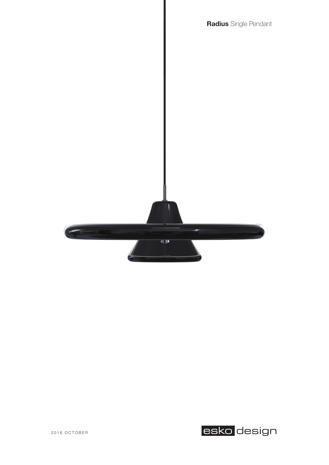